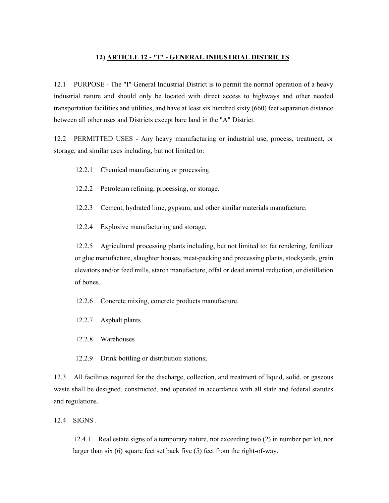## **12) ARTICLE 12 - "I" - GENERAL INDUSTRIAL DISTRICTS**

12.1 PURPOSE - The "I" General Industrial District is to permit the normal operation of a heavy industrial nature and should only be located with direct access to highways and other needed transportation facilities and utilities, and have at least six hundred sixty (660) feet separation distance between all other uses and Districts except bare land in the "A" District.

12.2 PERMITTED USES - Any heavy manufacturing or industrial use, process, treatment, or storage, and similar uses including, but not limited to:

12.2.1 Chemical manufacturing or processing.

- 12.2.2 Petroleum refining, processing, or storage.
- 12.2.3 Cement, hydrated lime, gypsum, and other similar materials manufacture.
- 12.2.4 Explosive manufacturing and storage.

12.2.5 Agricultural processing plants including, but not limited to: fat rendering, fertilizer or glue manufacture, slaughter houses, meat-packing and processing plants, stockyards, grain elevators and/or feed mills, starch manufacture, offal or dead animal reduction, or distillation of bones.

12.2.6 Concrete mixing, concrete products manufacture.

- 12.2.7 Asphalt plants
- 12.2.8 Warehouses
- 12.2.9 Drink bottling or distribution stations;

12.3 All facilities required for the discharge, collection, and treatment of liquid, solid, or gaseous waste shall be designed, constructed, and operated in accordance with all state and federal statutes and regulations.

12.4 SIGNS .

12.4.1 Real estate signs of a temporary nature, not exceeding two (2) in number per lot, nor larger than six (6) square feet set back five (5) feet from the right-of-way.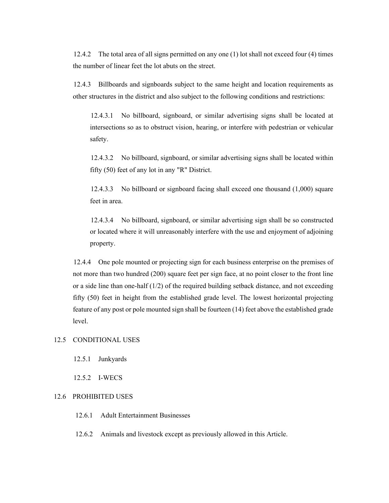12.4.2 The total area of all signs permitted on any one (1) lot shall not exceed four (4) times the number of linear feet the lot abuts on the street.

12.4.3 Billboards and signboards subject to the same height and location requirements as other structures in the district and also subject to the following conditions and restrictions:

12.4.3.1 No billboard, signboard, or similar advertising signs shall be located at intersections so as to obstruct vision, hearing, or interfere with pedestrian or vehicular safety.

12.4.3.2 No billboard, signboard, or similar advertising signs shall be located within fifty (50) feet of any lot in any "R" District.

12.4.3.3 No billboard or signboard facing shall exceed one thousand (1,000) square feet in area.

12.4.3.4 No billboard, signboard, or similar advertising sign shall be so constructed or located where it will unreasonably interfere with the use and enjoyment of adjoining property.

12.4.4 One pole mounted or projecting sign for each business enterprise on the premises of not more than two hundred (200) square feet per sign face, at no point closer to the front line or a side line than one-half  $(1/2)$  of the required building setback distance, and not exceeding fifty (50) feet in height from the established grade level. The lowest horizontal projecting feature of any post or pole mounted sign shall be fourteen (14) feet above the established grade level.

## 12.5 CONDITIONAL USES

12.5.1 Junkyards

12.5.2 I-WECS

## 12.6 PROHIBITED USES

- 12.6.1 Adult Entertainment Businesses
- 12.6.2 Animals and livestock except as previously allowed in this Article.